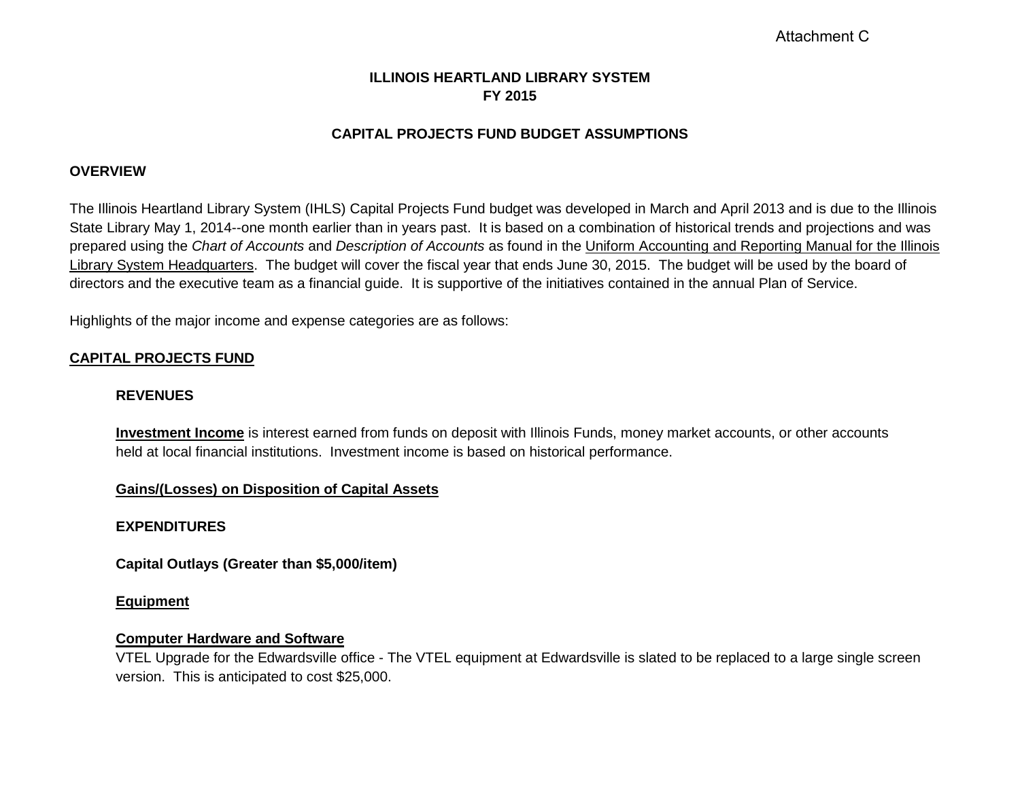# **ILLINOIS HEARTLAND LIBRARY SYSTEM FY 2015**

# **CAPITAL PROJECTS FUND BUDGET ASSUMPTIONS**

### **OVERVIEW**

The Illinois Heartland Library System (IHLS) Capital Projects Fund budget was developed in March and April 2013 and is due to the Illinois State Library May 1, 2014--one month earlier than in years past. It is based on a combination of historical trends and projections and was prepared using the *Chart of Accounts* and *Description of Accounts* as found in the Uniform Accounting and Reporting Manual for the Illinois Library System Headquarters. The budget will cover the fiscal year that ends June 30, 2015. The budget will be used by the board of directors and the executive team as a financial guide. It is supportive of the initiatives contained in the annual Plan of Service.

Highlights of the major income and expense categories are as follows:

# **CAPITAL PROJECTS FUND**

#### **REVENUES**

**Investment Income** is interest earned from funds on deposit with Illinois Funds, money market accounts, or other accounts held at local financial institutions. Investment income is based on historical performance.

### **Gains/(Losses) on Disposition of Capital Assets**

### **EXPENDITURES**

**Capital Outlays (Greater than \$5,000/item)**

#### **Equipment**

#### **Computer Hardware and Software**

VTEL Upgrade for the Edwardsville office - The VTEL equipment at Edwardsville is slated to be replaced to a large single screen version. This is anticipated to cost \$25,000.